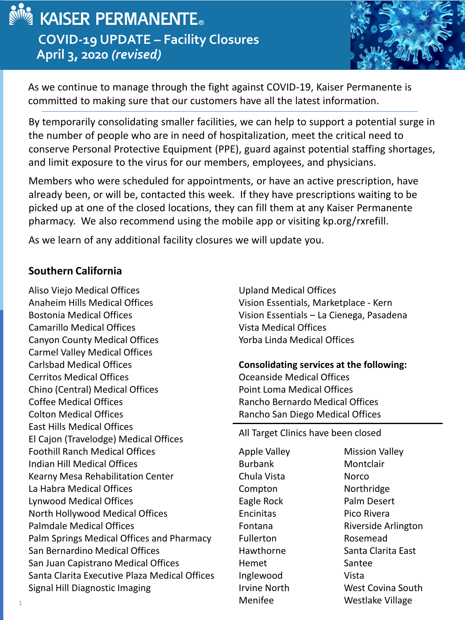

## **MEXICAL KAISER PERMANENTE. COVID-19 UPDATE – Facility Closures April 3, 2020** *(revised)*



As we continue to manage through the fight against COVID-19, Kaiser Permanente is committed to making sure that our customers have all the latest information.

By temporarily consolidating smaller facilities, we can help to support a potential surge in the number of people who are in need of hospitalization, meet the critical need to conserve Personal Protective Equipment (PPE), guard against potential staffing shortages, and limit exposure to the virus for our members, employees, and physicians.

Members who were scheduled for appointments, or have an active prescription, have already been, or will be, contacted this week. If they have prescriptions waiting to be picked up at one of the closed locations, they can fill them at any Kaiser Permanente pharmacy. We also recommend using the mobile app or visiting kp.org/rxrefill.

As we learn of any additional facility closures we will update you.

## **Southern California**

Aliso Viejo Medical Offices Anaheim Hills Medical Offices Bostonia Medical Offices Camarillo Medical Offices Canyon County Medical Offices Carmel Valley Medical Offices Carlsbad Medical Offices Cerritos Medical Offices Chino (Central) Medical Offices Coffee Medical Offices Colton Medical Offices East Hills Medical Offices El Cajon (Travelodge) Medical Offices Foothill Ranch Medical Offices Indian Hill Medical Offices Kearny Mesa Rehabilitation Center La Habra Medical Offices Lynwood Medical Offices North Hollywood Medical Offices Palmdale Medical Offices Palm Springs Medical Offices and Pharmacy San Bernardino Medical Offices San Juan Capistrano Medical Offices Santa Clarita Executive Plaza Medical Offices Signal Hill Diagnostic Imaging

Upland Medical Offices Vision Essentials, Marketplace - Kern Vision Essentials – La Cienega, Pasadena Vista Medical Offices Yorba Linda Medical Offices

**Consolidating services at the following:** Oceanside Medical Offices Point Loma Medical Offices Rancho Bernardo Medical Offices Rancho San Diego Medical Offices

All Target Clinics have been closed

Apple Valley Burbank Chula Vista Compton Eagle Rock Encinitas Fontana Fullerton Hawthorne Hemet Inglewood Irvine North Menifee

Mission Valley Montclair Norco Northridge Palm Desert Pico Rivera Riverside Arlington Rosemead Santa Clarita East Santee Vista West Covina South Westlake Village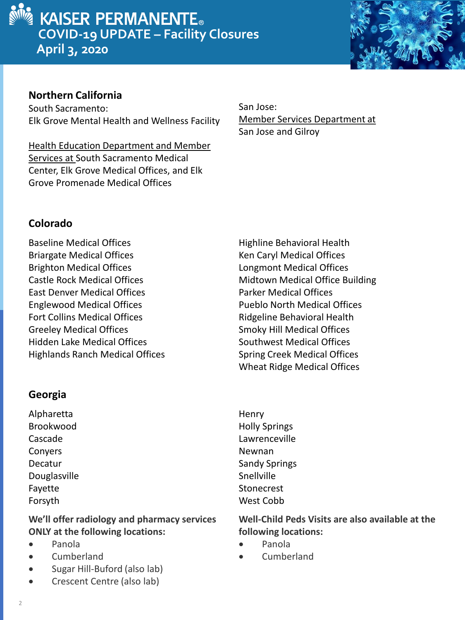



## **Northern California**

South Sacramento: Elk Grove Mental Health and Wellness Facility

Health Education Department and Member Services at South Sacramento Medical Center, Elk Grove Medical Offices, and Elk Grove Promenade Medical Offices

San Jose: Member Services Department at San Jose and Gilroy

## **Colorado**

Baseline Medical Offices Briargate Medical Offices Brighton Medical Offices Castle Rock Medical Offices East Denver Medical Offices Englewood Medical Offices Fort Collins Medical Offices Greeley Medical Offices Hidden Lake Medical Offices Highlands Ranch Medical Offices

## **Georgia**

Alpharetta Brookwood Cascade Conyers Decatur Douglasville Fayette Forsyth

**We'll offer radiology and pharmacy services ONLY at the following locations:**

- Panola
- **Cumberland**
- Sugar Hill-Buford (also lab)
- Crescent Centre (also lab)

Highline Behavioral Health Ken Caryl Medical Offices Longmont Medical Offices Midtown Medical Office Building Parker Medical Offices Pueblo North Medical Offices Ridgeline Behavioral Health Smoky Hill Medical Offices Southwest Medical Offices Spring Creek Medical Offices Wheat Ridge Medical Offices

**Henry** Holly Springs Lawrenceville Newnan Sandy Springs **Snellville Stonecrest** West Cobb

**Well-Child Peds Visits are also available at the following locations:**

- Panola
- Cumberland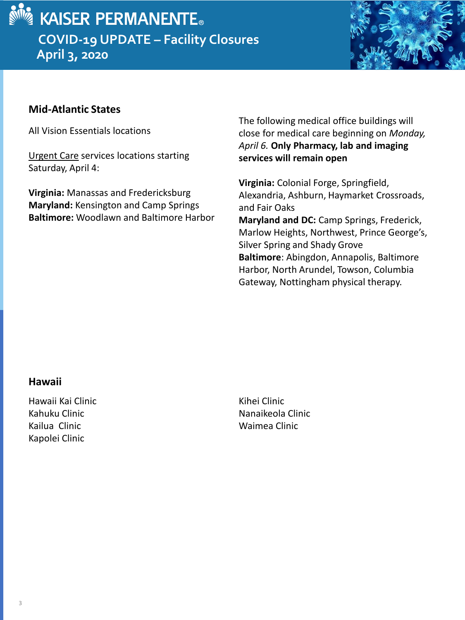



## **Mid-Atlantic States**

All Vision Essentials locations

Urgent Care services locations starting Saturday, April 4:

**Virginia:** Manassas and Fredericksburg **Maryland:** Kensington and Camp Springs **Baltimore:** Woodlawn and Baltimore Harbor

The following medical office buildings will close for medical care beginning on *Monday, April 6.* **Only Pharmacy, lab and imaging services will remain open**

**Virginia:** Colonial Forge, Springfield, Alexandria, Ashburn, Haymarket Crossroads, and Fair Oaks **Maryland and DC:** Camp Springs, Frederick, Marlow Heights, Northwest, Prince George's, Silver Spring and Shady Grove **Baltimore**: Abingdon, Annapolis, Baltimore Harbor, North Arundel, Towson, Columbia Gateway, Nottingham physical therapy.

#### **Hawaii**

Hawaii Kai Clinic Kahuku Clinic Kailua Clinic Kapolei Clinic

Kihei Clinic Nanaikeola Clinic Waimea Clinic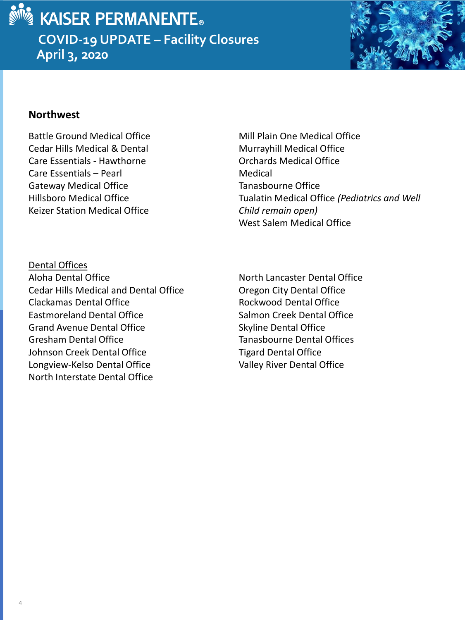

## KAISER PERMANENTE. **COVID-19 UPDATE – Facility Closures April 3, 2020**



#### **Northwest**

Battle Ground Medical Office Cedar Hills Medical & Dental Care Essentials - Hawthorne Care Essentials – Pearl Gateway Medical Office Hillsboro Medical Office Keizer Station Medical Office

Mill Plain One Medical Office Murrayhill Medical Office Orchards Medical Office Medical Tanasbourne Office Tualatin Medical Office *(Pediatrics and Well Child remain open)* West Salem Medical Office

Dental Offices Aloha Dental Office Cedar Hills Medical and Dental Office Clackamas Dental Office Eastmoreland Dental Office Grand Avenue Dental Office Gresham Dental Office Johnson Creek Dental Office Longview-Kelso Dental Office North Interstate Dental Office

North Lancaster Dental Office Oregon City Dental Office Rockwood Dental Office Salmon Creek Dental Office Skyline Dental Office Tanasbourne Dental Offices Tigard Dental Office Valley River Dental Office